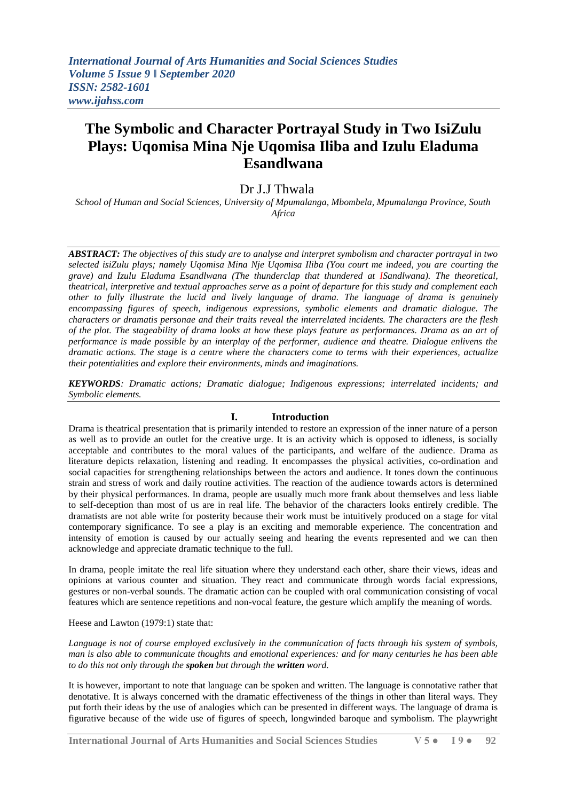# **The Symbolic and Character Portrayal Study in Two IsiZulu Plays: Uqomisa Mina Nje Uqomisa Iliba and Izulu Eladuma Esandlwana**

## Dr J.J Thwala

*School of Human and Social Sciences, University of Mpumalanga, Mbombela, Mpumalanga Province, South Africa*

*ABSTRACT: The objectives of this study are to analyse and interpret symbolism and character portrayal in two selected isiZulu plays; namely Uqomisa Mina Nje Uqomisa Iliba (You court me indeed, you are courting the grave) and Izulu Eladuma Esandlwana (The thunderclap that thundered at ISandlwana). The theoretical, theatrical, interpretive and textual approaches serve as a point of departure for this study and complement each other to fully illustrate the lucid and lively language of drama. The language of drama is genuinely encompassing figures of speech, indigenous expressions, symbolic elements and dramatic dialogue. The characters or dramatis personae and their traits reveal the interrelated incidents. The characters are the flesh of the plot. The stageability of drama looks at how these plays feature as performances. Drama as an art of performance is made possible by an interplay of the performer, audience and theatre. Dialogue enlivens the dramatic actions. The stage is a centre where the characters come to terms with their experiences, actualize their potentialities and explore their environments, minds and imaginations.*

*KEYWORDS: Dramatic actions; Dramatic dialogue; Indigenous expressions; interrelated incidents; and Symbolic elements.*

#### **I. Introduction**

Drama is theatrical presentation that is primarily intended to restore an expression of the inner nature of a person as well as to provide an outlet for the creative urge. It is an activity which is opposed to idleness, is socially acceptable and contributes to the moral values of the participants, and welfare of the audience. Drama as literature depicts relaxation, listening and reading. It encompasses the physical activities, co-ordination and social capacities for strengthening relationships between the actors and audience. It tones down the continuous strain and stress of work and daily routine activities. The reaction of the audience towards actors is determined by their physical performances. In drama, people are usually much more frank about themselves and less liable to self-deception than most of us are in real life. The behavior of the characters looks entirely credible. The dramatists are not able write for posterity because their work must be intuitively produced on a stage for vital contemporary significance. To see a play is an exciting and memorable experience. The concentration and intensity of emotion is caused by our actually seeing and hearing the events represented and we can then acknowledge and appreciate dramatic technique to the full.

In drama, people imitate the real life situation where they understand each other, share their views, ideas and opinions at various counter and situation. They react and communicate through words facial expressions, gestures or non-verbal sounds. The dramatic action can be coupled with oral communication consisting of vocal features which are sentence repetitions and non-vocal feature, the gesture which amplify the meaning of words.

Heese and Lawton (1979:1) state that:

*Language is not of course employed exclusively in the communication of facts through his system of symbols, man is also able to communicate thoughts and emotional experiences: and for many centuries he has been able to do this not only through the spoken but through the written word.*

It is however, important to note that language can be spoken and written. The language is connotative rather that denotative. It is always concerned with the dramatic effectiveness of the things in other than literal ways. They put forth their ideas by the use of analogies which can be presented in different ways. The language of drama is figurative because of the wide use of figures of speech, longwinded baroque and symbolism. The playwright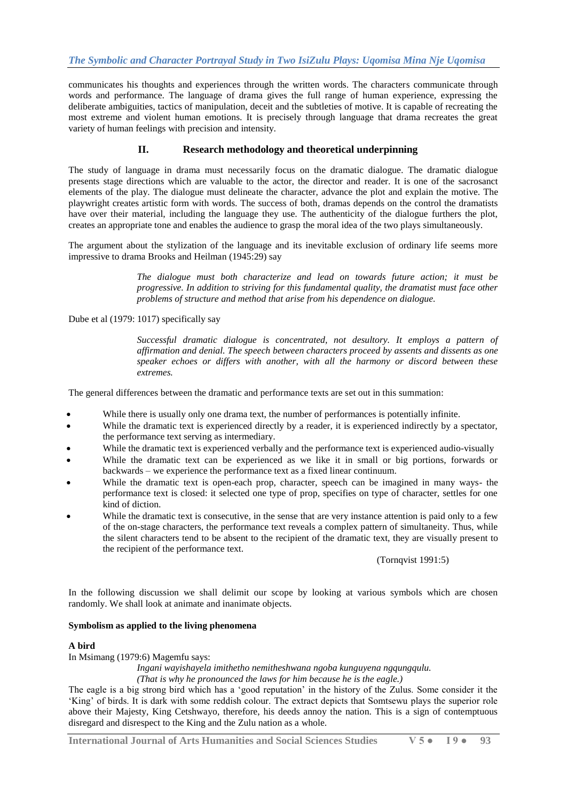communicates his thoughts and experiences through the written words. The characters communicate through words and performance. The language of drama gives the full range of human experience, expressing the deliberate ambiguities, tactics of manipulation, deceit and the subtleties of motive. It is capable of recreating the most extreme and violent human emotions. It is precisely through language that drama recreates the great variety of human feelings with precision and intensity.

## **II. Research methodology and theoretical underpinning**

The study of language in drama must necessarily focus on the dramatic dialogue. The dramatic dialogue presents stage directions which are valuable to the actor, the director and reader. It is one of the sacrosanct elements of the play. The dialogue must delineate the character, advance the plot and explain the motive. The playwright creates artistic form with words. The success of both, dramas depends on the control the dramatists have over their material, including the language they use. The authenticity of the dialogue furthers the plot, creates an appropriate tone and enables the audience to grasp the moral idea of the two plays simultaneously.

The argument about the stylization of the language and its inevitable exclusion of ordinary life seems more impressive to drama Brooks and Heilman (1945:29) say

> *The dialogue must both characterize and lead on towards future action; it must be progressive. In addition to striving for this fundamental quality, the dramatist must face other problems of structure and method that arise from his dependence on dialogue.*

Dube et al (1979: 1017) specifically say

*Successful dramatic dialogue is concentrated, not desultory. It employs a pattern of affirmation and denial. The speech between characters proceed by assents and dissents as one speaker echoes or differs with another, with all the harmony or discord between these extremes.*

The general differences between the dramatic and performance texts are set out in this summation:

- While there is usually only one drama text, the number of performances is potentially infinite.
- While the dramatic text is experienced directly by a reader, it is experienced indirectly by a spectator, the performance text serving as intermediary.
- While the dramatic text is experienced verbally and the performance text is experienced audio-visually
- While the dramatic text can be experienced as we like it in small or big portions, forwards or backwards – we experience the performance text as a fixed linear continuum.
- While the dramatic text is open-each prop, character, speech can be imagined in many ways- the performance text is closed: it selected one type of prop, specifies on type of character, settles for one kind of diction.
- While the dramatic text is consecutive, in the sense that are very instance attention is paid only to a few of the on-stage characters, the performance text reveals a complex pattern of simultaneity. Thus, while the silent characters tend to be absent to the recipient of the dramatic text, they are visually present to the recipient of the performance text.

(Tornqvist 1991:5)

In the following discussion we shall delimit our scope by looking at various symbols which are chosen randomly. We shall look at animate and inanimate objects.

## **Symbolism as applied to the living phenomena**

## **A bird**

In Msimang (1979:6) Magemfu says:

*Ingani wayishayela imithetho nemitheshwana ngoba kunguyena ngqungqulu. (That is why he pronounced the laws for him because he is the eagle.)*

The eagle is a big strong bird which has a "good reputation" in the history of the Zulus. Some consider it the "King" of birds. It is dark with some reddish colour. The extract depicts that Somtsewu plays the superior role above their Majesty, King Cetshwayo, therefore, his deeds annoy the nation. This is a sign of contemptuous disregard and disrespect to the King and the Zulu nation as a whole.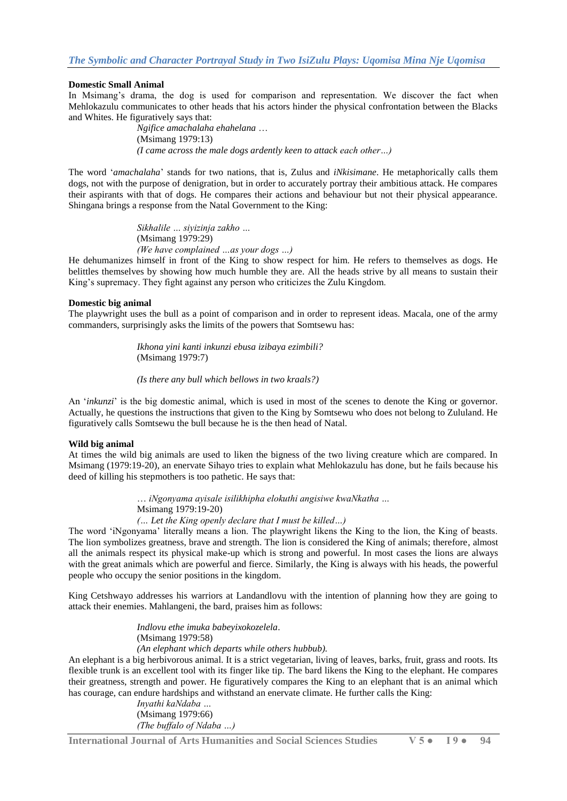### **Domestic Small Animal**

In Msimang's drama, the dog is used for comparison and representation. We discover the fact when Mehlokazulu communicates to other heads that his actors hinder the physical confrontation between the Blacks and Whites. He figuratively says that:

> *Ngifice amachalaha ehahelana* … (Msimang 1979:13) *(I came across the male dogs ardently keen to attack each other…)*

The word "*amachalaha*" stands for two nations, that is, Zulus and *iNkisimane*. He metaphorically calls them dogs, not with the purpose of denigration, but in order to accurately portray their ambitious attack. He compares their aspirants with that of dogs. He compares their actions and behaviour but not their physical appearance. Shingana brings a response from the Natal Government to the King:

> *Sikhalile … siyizinja zakho …* (Msimang 1979:29) *(We have complained …as your dogs …)*

He dehumanizes himself in front of the King to show respect for him. He refers to themselves as dogs. He belittles themselves by showing how much humble they are. All the heads strive by all means to sustain their King's supremacy. They fight against any person who criticizes the Zulu Kingdom.

#### **Domestic big animal**

The playwright uses the bull as a point of comparison and in order to represent ideas. Macala, one of the army commanders, surprisingly asks the limits of the powers that Somtsewu has:

> *Ikhona yini kanti inkunzi ebusa izibaya ezimbili?* (Msimang 1979:7)

*(Is there any bull which bellows in two kraals?)*

An "*inkunzi*" is the big domestic animal, which is used in most of the scenes to denote the King or governor. Actually, he questions the instructions that given to the King by Somtsewu who does not belong to Zululand. He figuratively calls Somtsewu the bull because he is the then head of Natal.

#### **Wild big animal**

At times the wild big animals are used to liken the bigness of the two living creature which are compared. In Msimang (1979:19-20), an enervate Sihayo tries to explain what Mehlokazulu has done, but he fails because his deed of killing his stepmothers is too pathetic. He says that:

> … *iNgonyama ayisale isilikhipha elokuthi angisiwe kwaNkatha …* Msimang 1979:19-20)

*(… Let the King openly declare that I must be killed…)*

The word "iNgonyama" literally means a lion. The playwright likens the King to the lion, the King of beasts. The lion symbolizes greatness, brave and strength. The lion is considered the King of animals; therefore, almost all the animals respect its physical make-up which is strong and powerful. In most cases the lions are always with the great animals which are powerful and fierce. Similarly, the King is always with his heads, the powerful people who occupy the senior positions in the kingdom.

King Cetshwayo addresses his warriors at Landandlovu with the intention of planning how they are going to attack their enemies. Mahlangeni, the bard, praises him as follows:

> *Indlovu ethe imuka babeyixokozelela*. (Msimang 1979:58) *(An elephant which departs while others hubbub).*

An elephant is a big herbivorous animal. It is a strict vegetarian, living of leaves, barks, fruit, grass and roots. Its flexible trunk is an excellent tool with its finger like tip. The bard likens the King to the elephant. He compares their greatness, strength and power. He figuratively compares the King to an elephant that is an animal which has courage, can endure hardships and withstand an enervate climate. He further calls the King:

*Inyathi kaNdaba …* (Msimang 1979:66) *(The buffalo of Ndaba …)*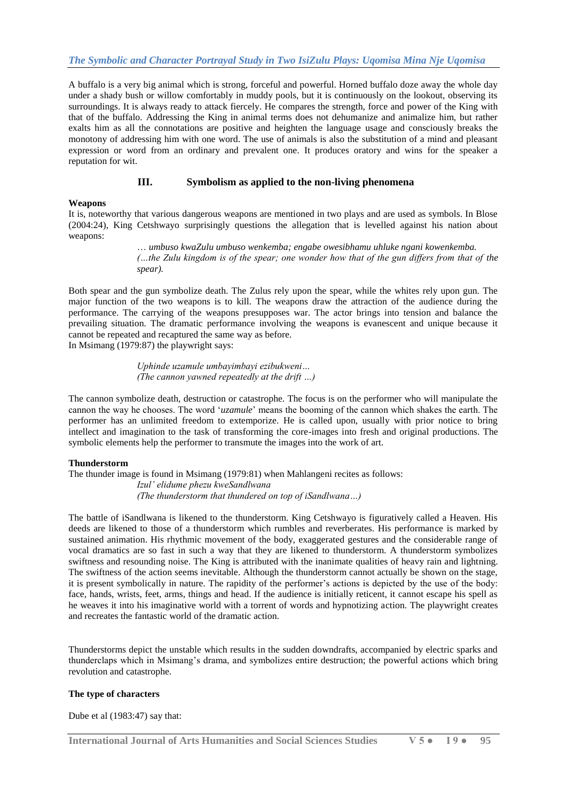## *The Symbolic and Character Portrayal Study in Two IsiZulu Plays: Uqomisa Mina Nje Uqomisa*

A buffalo is a very big animal which is strong, forceful and powerful. Horned buffalo doze away the whole day under a shady bush or willow comfortably in muddy pools, but it is continuously on the lookout, observing its surroundings. It is always ready to attack fiercely. He compares the strength, force and power of the King with that of the buffalo. Addressing the King in animal terms does not dehumanize and animalize him, but rather exalts him as all the connotations are positive and heighten the language usage and consciously breaks the monotony of addressing him with one word. The use of animals is also the substitution of a mind and pleasant expression or word from an ordinary and prevalent one. It produces oratory and wins for the speaker a reputation for wit.

## **III. Symbolism as applied to the non-living phenomena**

#### **Weapons**

It is, noteworthy that various dangerous weapons are mentioned in two plays and are used as symbols. In Blose (2004:24), King Cetshwayo surprisingly questions the allegation that is levelled against his nation about weapons:

> … *umbuso kwaZulu umbuso wenkemba; engabe owesibhamu uhluke ngani kowenkemba. (…the Zulu kingdom is of the spear; one wonder how that of the gun differs from that of the spear).*

Both spear and the gun symbolize death. The Zulus rely upon the spear, while the whites rely upon gun. The major function of the two weapons is to kill. The weapons draw the attraction of the audience during the performance. The carrying of the weapons presupposes war. The actor brings into tension and balance the prevailing situation. The dramatic performance involving the weapons is evanescent and unique because it cannot be repeated and recaptured the same way as before.

In Msimang (1979:87) the playwright says:

*Uphinde uzamule umbayimbayi ezibukweni… (The cannon yawned repeatedly at the drift …)*

The cannon symbolize death, destruction or catastrophe. The focus is on the performer who will manipulate the cannon the way he chooses. The word "*uzamule*" means the booming of the cannon which shakes the earth. The performer has an unlimited freedom to extemporize. He is called upon, usually with prior notice to bring intellect and imagination to the task of transforming the core-images into fresh and original productions. The symbolic elements help the performer to transmute the images into the work of art.

#### **Thunderstorm**

The thunder image is found in Msimang (1979:81) when Mahlangeni recites as follows: *Izul' elidume phezu kweSandlwana (The thunderstorm that thundered on top of iSandlwana…)*

The battle of iSandlwana is likened to the thunderstorm. King Cetshwayo is figuratively called a Heaven. His deeds are likened to those of a thunderstorm which rumbles and reverberates. His performance is marked by sustained animation. His rhythmic movement of the body, exaggerated gestures and the considerable range of vocal dramatics are so fast in such a way that they are likened to thunderstorm. A thunderstorm symbolizes swiftness and resounding noise. The King is attributed with the inanimate qualities of heavy rain and lightning. The swiftness of the action seems inevitable. Although the thunderstorm cannot actually be shown on the stage, it is present symbolically in nature. The rapidity of the performer"s actions is depicted by the use of the body: face, hands, wrists, feet, arms, things and head. If the audience is initially reticent, it cannot escape his spell as he weaves it into his imaginative world with a torrent of words and hypnotizing action. The playwright creates and recreates the fantastic world of the dramatic action.

Thunderstorms depict the unstable which results in the sudden downdrafts, accompanied by electric sparks and thunderclaps which in Msimang"s drama, and symbolizes entire destruction; the powerful actions which bring revolution and catastrophe.

#### **The type of characters**

Dube et al (1983:47) say that: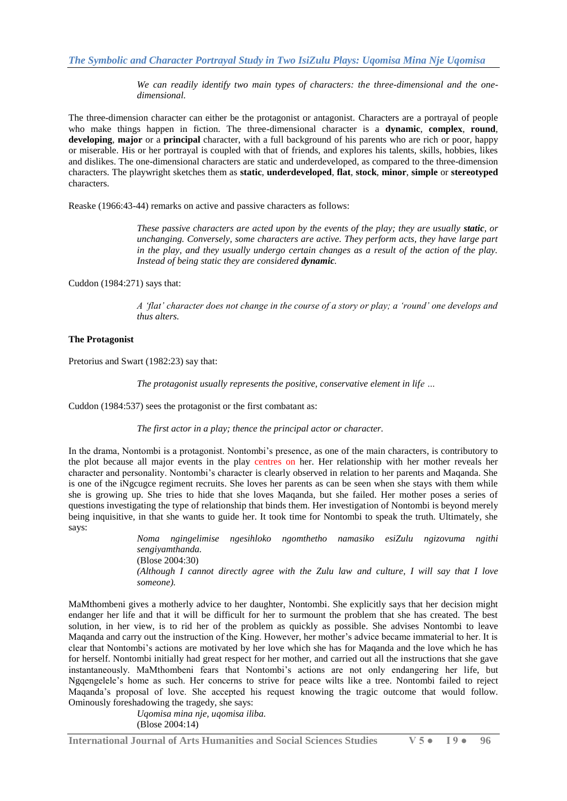*The Symbolic and Character Portrayal Study in Two IsiZulu Plays: Uqomisa Mina Nje Uqomisa* 

*We can readily identify two main types of characters: the three-dimensional and the onedimensional.* 

The three-dimension character can either be the protagonist or antagonist. Characters are a portrayal of people who make things happen in fiction. The three-dimensional character is a **dynamic**, **complex**, **round**, **developing**, **major** or a **principal** character, with a full background of his parents who are rich or poor, happy or miserable. His or her portrayal is coupled with that of friends, and explores his talents, skills, hobbies, likes and dislikes. The one-dimensional characters are static and underdeveloped, as compared to the three-dimension characters. The playwright sketches them as **static**, **underdeveloped**, **flat**, **stock**, **minor**, **simple** or **stereotyped** characters.

Reaske (1966:43-44) remarks on active and passive characters as follows:

*These passive characters are acted upon by the events of the play; they are usually <i>static*, *or unchanging. Conversely, some characters are active. They perform acts, they have large part in the play, and they usually undergo certain changes as a result of the action of the play. Instead of being static they are considered dynamic.*

Cuddon (1984:271) says that:

*A 'flat' character does not change in the course of a story or play; a 'round' one develops and thus alters.*

#### **The Protagonist**

Pretorius and Swart (1982:23) say that:

*The protagonist usually represents the positive, conservative element in life …*

Cuddon (1984:537) sees the protagonist or the first combatant as:

*The first actor in a play; thence the principal actor or character.*

In the drama, Nontombi is a protagonist. Nontombi"s presence, as one of the main characters, is contributory to the plot because all major events in the play centres on her. Her relationship with her mother reveals her character and personality. Nontombi"s character is clearly observed in relation to her parents and Maqanda. She is one of the iNgcugce regiment recruits. She loves her parents as can be seen when she stays with them while she is growing up. She tries to hide that she loves Maqanda, but she failed. Her mother poses a series of questions investigating the type of relationship that binds them. Her investigation of Nontombi is beyond merely being inquisitive, in that she wants to guide her. It took time for Nontombi to speak the truth. Ultimately, she says:

*Noma ngingelimise ngesihloko ngomthetho namasiko esiZulu ngizovuma ngithi sengiyamthanda.* (Blose 2004:30) *(Although I cannot directly agree with the Zulu law and culture, I will say that I love someone).*

MaMthombeni gives a motherly advice to her daughter, Nontombi. She explicitly says that her decision might endanger her life and that it will be difficult for her to surmount the problem that she has created. The best solution, in her view, is to rid her of the problem as quickly as possible. She advises Nontombi to leave Maqanda and carry out the instruction of the King. However, her mother"s advice became immaterial to her. It is clear that Nontombi"s actions are motivated by her love which she has for Maqanda and the love which he has for herself. Nontombi initially had great respect for her mother, and carried out all the instructions that she gave instantaneously. MaMthombeni fears that Nontombi's actions are not only endangering her life, but Ngqengelele"s home as such. Her concerns to strive for peace wilts like a tree. Nontombi failed to reject Maqanda"s proposal of love. She accepted his request knowing the tragic outcome that would follow. Ominously foreshadowing the tragedy, she says:

> *Uqomisa mina nje, uqomisa iliba.* (Blose 2004:14)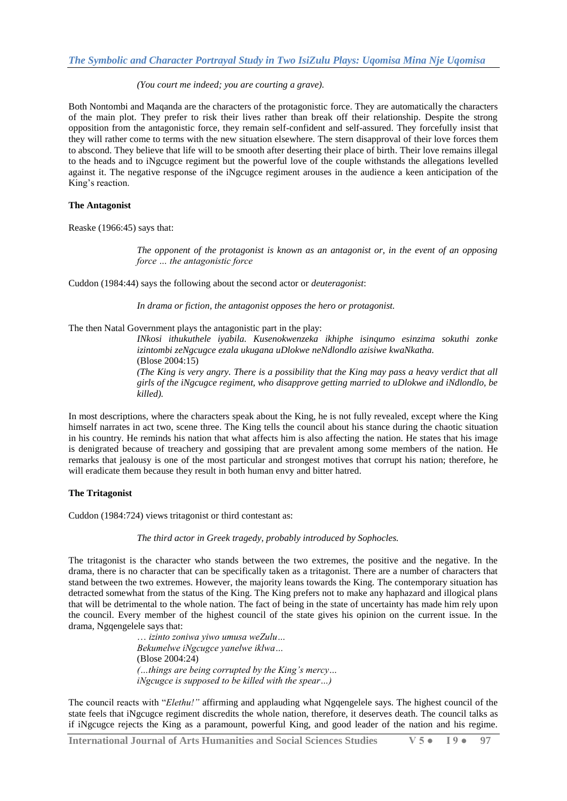#### *(You court me indeed; you are courting a grave).*

Both Nontombi and Maqanda are the characters of the protagonistic force. They are automatically the characters of the main plot. They prefer to risk their lives rather than break off their relationship. Despite the strong opposition from the antagonistic force, they remain self-confident and self-assured. They forcefully insist that they will rather come to terms with the new situation elsewhere. The stern disapproval of their love forces them to abscond. They believe that life will to be smooth after deserting their place of birth. Their love remains illegal to the heads and to iNgcugce regiment but the powerful love of the couple withstands the allegations levelled against it. The negative response of the iNgcugce regiment arouses in the audience a keen anticipation of the King's reaction.

#### **The Antagonist**

Reaske (1966:45) says that:

*The opponent of the protagonist is known as an antagonist or, in the event of an opposing force … the antagonistic force*

Cuddon (1984:44) says the following about the second actor or *deuteragonist*:

*In drama or fiction, the antagonist opposes the hero or protagonist.*

The then Natal Government plays the antagonistic part in the play:

*INkosi ithukuthele iyabila. Kusenokwenzeka ikhiphe isinqumo esinzima sokuthi zonke izintombi zeNgcugce ezala ukugana uDlokwe neNdlondlo azisiwe kwaNkatha.* (Blose 2004:15)

*(The King is very angry. There is a possibility that the King may pass a heavy verdict that all girls of the iNgcugce regiment, who disapprove getting married to uDlokwe and iNdlondlo, be killed).*

In most descriptions, where the characters speak about the King, he is not fully revealed, except where the King himself narrates in act two, scene three. The King tells the council about his stance during the chaotic situation in his country. He reminds his nation that what affects him is also affecting the nation. He states that his image is denigrated because of treachery and gossiping that are prevalent among some members of the nation. He remarks that jealousy is one of the most particular and strongest motives that corrupt his nation; therefore, he will eradicate them because they result in both human envy and bitter hatred.

#### **The Tritagonist**

Cuddon (1984:724) views tritagonist or third contestant as:

*The third actor in Greek tragedy, probably introduced by Sophocles.*

The tritagonist is the character who stands between the two extremes, the positive and the negative. In the drama, there is no character that can be specifically taken as a tritagonist. There are a number of characters that stand between the two extremes. However, the majority leans towards the King. The contemporary situation has detracted somewhat from the status of the King. The King prefers not to make any haphazard and illogical plans that will be detrimental to the whole nation. The fact of being in the state of uncertainty has made him rely upon the council. Every member of the highest council of the state gives his opinion on the current issue. In the drama, Ngqengelele says that:

> … *izinto zoniwa yiwo umusa weZulu… Bekumelwe iNgcugce yanelwe iklwa…* (Blose 2004:24) *(…things are being corrupted by the King's mercy… iNgcugce is supposed to be killed with the spear…)*

The council reacts with "*Elethu!"* affirming and applauding what Ngqengelele says. The highest council of the state feels that iNgcugce regiment discredits the whole nation, therefore, it deserves death. The council talks as if iNgcugce rejects the King as a paramount, powerful King, and good leader of the nation and his regime.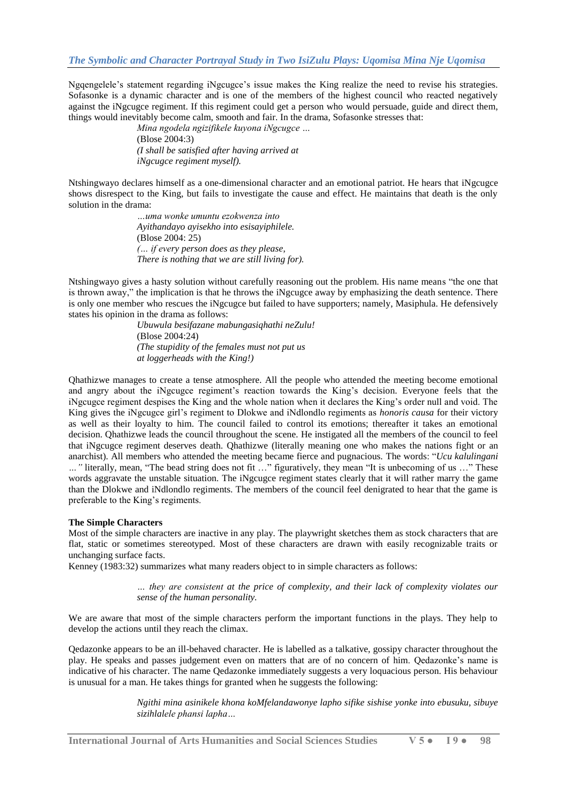Ngqengelele"s statement regarding iNgcugce"s issue makes the King realize the need to revise his strategies. Sofasonke is a dynamic character and is one of the members of the highest council who reacted negatively against the iNgcugce regiment. If this regiment could get a person who would persuade, guide and direct them, things would inevitably become calm, smooth and fair. In the drama, Sofasonke stresses that:

> *Mina ngodela ngizifikele kuyona iNgcugce …* (Blose 2004:3) *(I shall be satisfied after having arrived at iNgcugce regiment myself).*

Ntshingwayo declares himself as a one-dimensional character and an emotional patriot. He hears that iNgcugce shows disrespect to the King, but fails to investigate the cause and effect. He maintains that death is the only solution in the drama:

> *…uma wonke umuntu ezokwenza into Ayithandayo ayisekho into esisayiphilele.* (Blose 2004: 25) *(… if every person does as they please, There is nothing that we are still living for).*

Ntshingwayo gives a hasty solution without carefully reasoning out the problem. His name means "the one that is thrown away," the implication is that he throws the iNgcugce away by emphasizing the death sentence. There is only one member who rescues the iNgcugce but failed to have supporters; namely, Masiphula. He defensively states his opinion in the drama as follows:

> *Ubuwula besifazane mabungasiqhathi neZulu!* (Blose 2004:24) *(The stupidity of the females must not put us at loggerheads with the King!)*

Qhathizwe manages to create a tense atmosphere. All the people who attended the meeting become emotional and angry about the iNgcugce regiment"s reaction towards the King"s decision. Everyone feels that the iNgcugce regiment despises the King and the whole nation when it declares the King"s order null and void. The King gives the iNgcugce girl"s regiment to Dlokwe and iNdlondlo regiments as *honoris causa* for their victory as well as their loyalty to him. The council failed to control its emotions; thereafter it takes an emotional decision. Qhathizwe leads the council throughout the scene. He instigated all the members of the council to feel that iNgcugce regiment deserves death. Qhathizwe (literally meaning one who makes the nations fight or an anarchist). All members who attended the meeting became fierce and pugnacious. The words: "*Ucu kalulingani …"* literally, mean, "The bead string does not fit …" figuratively, they mean "It is unbecoming of us …" These words aggravate the unstable situation. The iNgcugce regiment states clearly that it will rather marry the game than the Dlokwe and iNdlondlo regiments. The members of the council feel denigrated to hear that the game is preferable to the King's regiments.

#### **The Simple Characters**

Most of the simple characters are inactive in any play. The playwright sketches them as stock characters that are flat, static or sometimes stereotyped. Most of these characters are drawn with easily recognizable traits or unchanging surface facts.

Kenney (1983:32) summarizes what many readers object to in simple characters as follows:

*… they are consistent at the price of complexity, and their lack of complexity violates our sense of the human personality.*

We are aware that most of the simple characters perform the important functions in the plays. They help to develop the actions until they reach the climax.

Qedazonke appears to be an ill-behaved character. He is labelled as a talkative, gossipy character throughout the play. He speaks and passes judgement even on matters that are of no concern of him. Qedazonke's name is indicative of his character. The name Qedazonke immediately suggests a very loquacious person. His behaviour is unusual for a man. He takes things for granted when he suggests the following:

> *Ngithi mina asinikele khona koMfelandawonye lapho sifike sishise yonke into ebusuku, sibuye sizihlalele phansi lapha…*